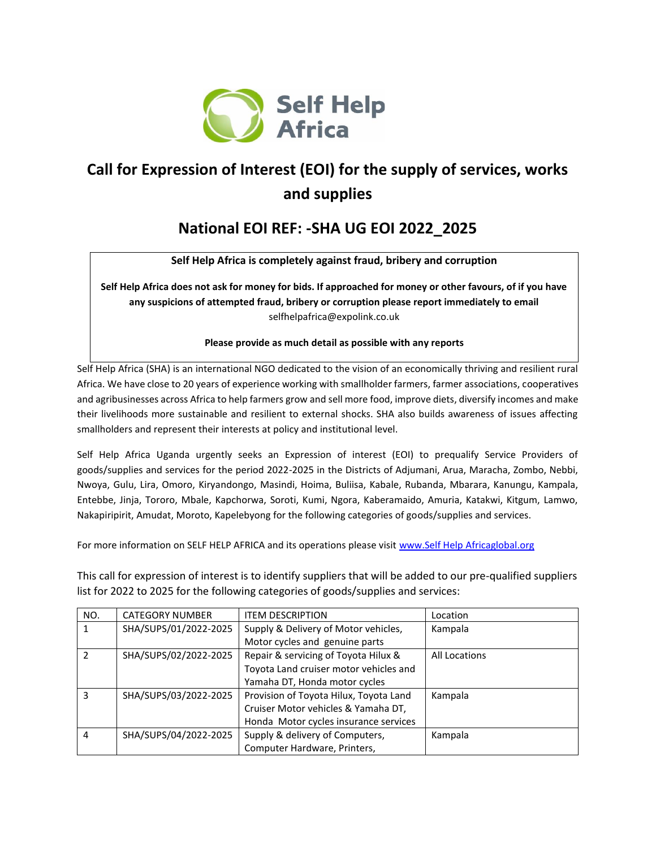

## **Call for Expression of Interest (EOI) for the supply of services, works and supplies**

## **National EOI REF: -SHA UG EOI 2022\_2025**

**Self Help Africa is completely against fraud, bribery and corruption**

**Self Help Africa does not ask for money for bids. If approached for money or other favours, of if you have any suspicions of attempted fraud, bribery or corruption please report immediately to email** selfhelpafrica@expolink.co.uk

## **Please provide as much detail as possible with any reports**

Self Help Africa (SHA) is an international NGO dedicated to the vision of an economically thriving and resilient rural Africa. We have close to 20 years of experience working with smallholder farmers, farmer associations, cooperatives and agribusinesses across Africa to help farmers grow and sell more food, improve diets, diversify incomes and make their livelihoods more sustainable and resilient to external shocks. SHA also builds awareness of issues affecting smallholders and represent their interests at policy and institutional level.

Self Help Africa Uganda urgently seeks an Expression of interest (EOI) to prequalify Service Providers of goods/supplies and services for the period 2022-2025 in the Districts of Adjumani, Arua, Maracha, Zombo, Nebbi, Nwoya, Gulu, Lira, Omoro, Kiryandongo, Masindi, Hoima, Buliisa, Kabale, Rubanda, Mbarara, Kanungu, Kampala, Entebbe, Jinja, Tororo, Mbale, Kapchorwa, Soroti, Kumi, Ngora, Kaberamaido, Amuria, Katakwi, Kitgum, Lamwo, Nakapiripirit, Amudat, Moroto, Kapelebyong for the following categories of goods/supplies and services.

For more information on SELF HELP AFRICA and its operations please visi[t www.Self Help Africaglobal.org](http://www.goalglobal.org/)

This call for expression of interest is to identify suppliers that will be added to our pre-qualified suppliers list for 2022 to 2025 for the following categories of goods/supplies and services:

| NO.                        | <b>CATEGORY NUMBER</b> | <b>ITEM DESCRIPTION</b><br>Location             |               |  |
|----------------------------|------------------------|-------------------------------------------------|---------------|--|
| 1                          | SHA/SUPS/01/2022-2025  | Supply & Delivery of Motor vehicles,<br>Kampala |               |  |
|                            |                        | Motor cycles and genuine parts                  |               |  |
| $\mathcal{P}$              | SHA/SUPS/02/2022-2025  | Repair & servicing of Toyota Hilux &            | All Locations |  |
|                            |                        | Toyota Land cruiser motor vehicles and          |               |  |
|                            |                        | Yamaha DT, Honda motor cycles                   |               |  |
| 3<br>SHA/SUPS/03/2022-2025 |                        | Provision of Toyota Hilux, Toyota Land          | Kampala       |  |
|                            |                        | Cruiser Motor vehicles & Yamaha DT,             |               |  |
|                            |                        | Honda Motor cycles insurance services           |               |  |
| 4                          | SHA/SUPS/04/2022-2025  | Supply & delivery of Computers,                 | Kampala       |  |
|                            |                        | Computer Hardware, Printers,                    |               |  |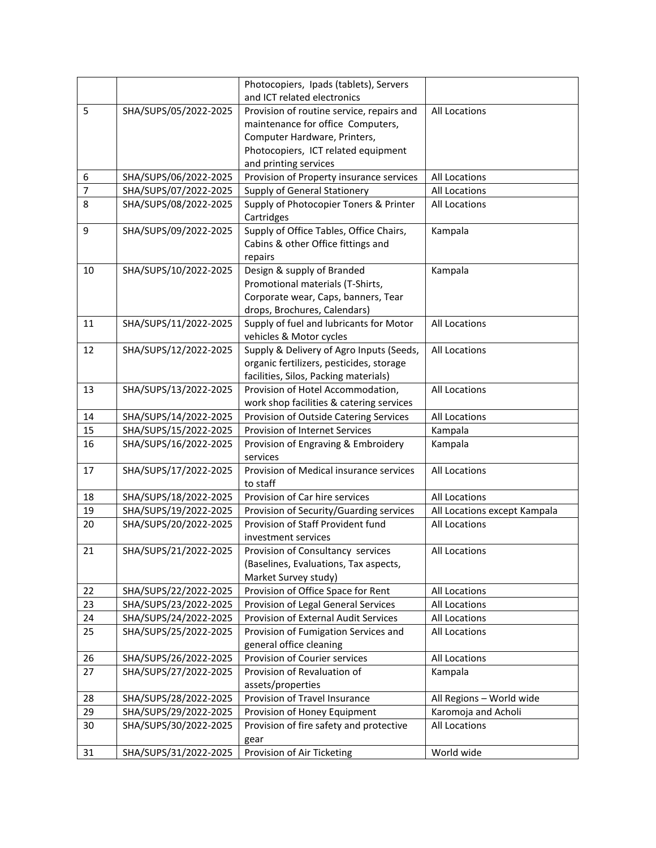|    |                       | Photocopiers, Ipads (tablets), Servers    |                              |
|----|-----------------------|-------------------------------------------|------------------------------|
|    |                       | and ICT related electronics               |                              |
| 5  | SHA/SUPS/05/2022-2025 | Provision of routine service, repairs and | All Locations                |
|    |                       | maintenance for office Computers,         |                              |
|    |                       | Computer Hardware, Printers,              |                              |
|    |                       | Photocopiers, ICT related equipment       |                              |
|    |                       | and printing services                     |                              |
| 6  | SHA/SUPS/06/2022-2025 | Provision of Property insurance services  | All Locations                |
| 7  | SHA/SUPS/07/2022-2025 | Supply of General Stationery              | All Locations                |
| 8  | SHA/SUPS/08/2022-2025 | Supply of Photocopier Toners & Printer    | All Locations                |
|    |                       | Cartridges                                |                              |
| 9  | SHA/SUPS/09/2022-2025 | Supply of Office Tables, Office Chairs,   | Kampala                      |
|    |                       | Cabins & other Office fittings and        |                              |
|    |                       | repairs                                   |                              |
| 10 | SHA/SUPS/10/2022-2025 | Design & supply of Branded                | Kampala                      |
|    |                       | Promotional materials (T-Shirts,          |                              |
|    |                       | Corporate wear, Caps, banners, Tear       |                              |
|    |                       | drops, Brochures, Calendars)              |                              |
| 11 | SHA/SUPS/11/2022-2025 | Supply of fuel and lubricants for Motor   | All Locations                |
|    |                       | vehicles & Motor cycles                   |                              |
| 12 | SHA/SUPS/12/2022-2025 | Supply & Delivery of Agro Inputs (Seeds,  | All Locations                |
|    |                       | organic fertilizers, pesticides, storage  |                              |
|    |                       | facilities, Silos, Packing materials)     |                              |
| 13 | SHA/SUPS/13/2022-2025 | Provision of Hotel Accommodation,         | All Locations                |
|    |                       | work shop facilities & catering services  |                              |
| 14 | SHA/SUPS/14/2022-2025 | Provision of Outside Catering Services    | All Locations                |
| 15 | SHA/SUPS/15/2022-2025 | Provision of Internet Services            | Kampala                      |
| 16 | SHA/SUPS/16/2022-2025 | Provision of Engraving & Embroidery       | Kampala                      |
|    |                       | services                                  |                              |
| 17 | SHA/SUPS/17/2022-2025 | Provision of Medical insurance services   | All Locations                |
|    |                       | to staff                                  |                              |
| 18 | SHA/SUPS/18/2022-2025 | Provision of Car hire services            | <b>All Locations</b>         |
| 19 | SHA/SUPS/19/2022-2025 | Provision of Security/Guarding services   | All Locations except Kampala |
| 20 | SHA/SUPS/20/2022-2025 | Provision of Staff Provident fund         | All Locations                |
|    |                       | investment services                       |                              |
| 21 | SHA/SUPS/21/2022-2025 | Provision of Consultancy services         | All Locations                |
|    |                       | (Baselines, Evaluations, Tax aspects,     |                              |
|    |                       | Market Survey study)                      |                              |
| 22 | SHA/SUPS/22/2022-2025 | Provision of Office Space for Rent        | All Locations                |
| 23 | SHA/SUPS/23/2022-2025 | Provision of Legal General Services       | All Locations                |
| 24 | SHA/SUPS/24/2022-2025 | Provision of External Audit Services      | All Locations                |
| 25 | SHA/SUPS/25/2022-2025 | Provision of Fumigation Services and      | All Locations                |
|    |                       | general office cleaning                   |                              |
| 26 | SHA/SUPS/26/2022-2025 | Provision of Courier services             | All Locations                |
| 27 | SHA/SUPS/27/2022-2025 | Provision of Revaluation of<br>Kampala    |                              |
|    |                       | assets/properties                         |                              |
| 28 | SHA/SUPS/28/2022-2025 | Provision of Travel Insurance             | All Regions - World wide     |
| 29 | SHA/SUPS/29/2022-2025 | Provision of Honey Equipment              | Karomoja and Acholi          |
| 30 | SHA/SUPS/30/2022-2025 | Provision of fire safety and protective   | All Locations                |
|    |                       | gear                                      |                              |
| 31 | SHA/SUPS/31/2022-2025 | Provision of Air Ticketing                | World wide                   |